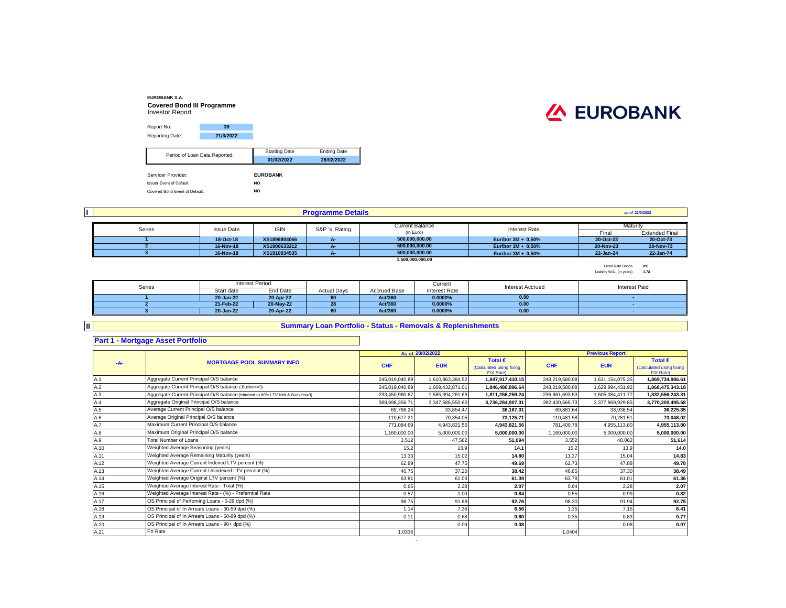#### **EUROBANK S.A. Covered Bond III Programme** Investor Report



| Servicer Provider: |                               | <b>EUROBANK</b>      |                    |
|--------------------|-------------------------------|----------------------|--------------------|
|                    |                               | 01/02/2022           | 28/02/2022         |
|                    | Period of Loan Data Reported: | <b>Starting Date</b> | <b>Ending Date</b> |
|                    |                               |                      |                    |
| Reporting Date:    | 21/3/2022                     |                      |                    |
| Report No:         | 39                            |                      |                    |
|                    |                               |                      |                    |

Issuer Event of Default: **NO** Covered Bond Event of Default: **NO**

|        |                   |              | <b>Programme Details</b> |                        |                      |                          | as of 21/3/2022       |
|--------|-------------------|--------------|--------------------------|------------------------|----------------------|--------------------------|-----------------------|
|        |                   |              |                          | <b>Current Balance</b> |                      | Maturity                 |                       |
| Series | <b>Issue Date</b> | <b>ISIN</b>  | S&P 's Rating            | (in Euro)              | <b>Interest Rate</b> | Final                    | <b>Extended Final</b> |
|        | 18-Oct-18         | XS1896804066 | $A -$                    | 500.000.000.00         | Euribor 3M + 0,50%   | 20-Oct-23                | 20-Oct-73             |
|        | 16-Nov-18         | XS1900633212 | - A-7                    | 500.000.000.00         | Euribor 3M + 0,50%   | 20-Nov-23                | 20-Nov-73             |
|        | 16-Nov-18         | XS1910934535 |                          | 500.000.000.00         | Euribor $3M + 0.50%$ | 22-Jan-24                | 22-Jan-74             |
|        |                   |              |                          | 1,500,000,000.00       |                      |                          |                       |
|        |                   |              |                          |                        |                      | Fixed Rate Bonds         | 0%                    |
|        |                   |              |                          |                        |                      | Liability WAL (in years) | 1.78                  |

| Series |            | Interest Period |                    |                     | Current              | <b>Interest Accrued</b> | <b>Interest Paid</b> |
|--------|------------|-----------------|--------------------|---------------------|----------------------|-------------------------|----------------------|
|        | Start date | End Date        | <b>Actual Days</b> | <b>Accrued Base</b> | <b>Interest Rate</b> |                         |                      |
|        | 20-Jan-22  | 20-Apr-22       | 60                 | Act/360             | 0.0000%              | 0.00                    |                      |
|        | 21-Feb-22  | 20-May-22       | 28                 | Act/360             | 0.0000%              | 0.00                    |                      |
|        | 20-Jan-22  | 20-Apr-22       |                    | Act/360             | 0.0000%              | 0.00                    |                      |
|        |            |                 |                    |                     |                      |                         |                      |

#### **II**

# **Summary Loan Portfolio - Status - Removals & Replenishments**

## **Part 1 - Mortgage Asset Portfolio**

|       |                                                                                  |                | As of 28/02/2022 |                                                           |                | <b>Previous Report</b> |                                                           |
|-------|----------------------------------------------------------------------------------|----------------|------------------|-----------------------------------------------------------|----------------|------------------------|-----------------------------------------------------------|
| $-A-$ | <b>MORTGAGE POOL SUMMARY INFO</b>                                                | <b>CHF</b>     | <b>EUR</b>       | Total $\epsilon$<br>(Calculated using fixing<br>F/X Rate) | <b>CHF</b>     | <b>EUR</b>             | Total $\epsilon$<br>(Calculated using fixing<br>F/X Rate) |
| A.1   | Aggregate Current Principal O/S balance                                          | 245.019.040.89 | 1,610,863,384.52 | 1.847.917.410.15                                          | 248,219,580.08 | 1,631,154,075.35       | 1,869,734,986.61                                          |
| A.2   | Aggregate Current Principal O/S balance (Bucket<=3)                              | 245,019,040.89 | 1,609,432,871.01 | 1,846,486,896.64                                          | 248,219,580.08 | 1,629,894,431.92       | 1,868,475,343.18                                          |
| A.3   | Aggregate Current Principal O/S balance (trimmed to 80% LTV limit & Bucket <= 3) | 233,450,960.67 | 1,585,394,261.69 | 1,811,256,259.24                                          | 236,661,693.53 | 1,605,084,411.77       | 1,832,556,243.31                                          |
| A.4   | Aggregate Original Principal O/S balance                                         | 388,698,356.71 | 3,347,586,550.60 | 3,736,284,907.31                                          | 392,430,565.73 | 3,377,869,929.85       | 3,770,300,495.58                                          |
| A.5   | Average Current Principal O/S balance                                            | 69.766.24      | 33.854.47        | 36.167.01                                                 | 69.881.64      | 33.938.54              | 36,225.35                                                 |
| A.6   | Average Original Principal O/S balance                                           | 110,677.21     | 70,354.05        | 73.125.71                                                 | 110,481.58     | 70.281.51              | 73,048.02                                                 |
| A.7   | Maximum Current Principal O/S balance                                            | 771,084.69     | 4,943,821.56     | 4,943,821.56                                              | 781,400.78     | 4,955,113.80           | 4,955,113.80                                              |
| A.8   | Maximum Original Principal O/S balance                                           | 1,160,000.00   | 5,000,000.00     | 5,000,000.00                                              | 1,160,000.00   | 5,000,000.00           | 5,000,000.00                                              |
| A.9   | <b>Total Number of Loans</b>                                                     | 3,512          | 47.582           | 51,094                                                    | 3,552          | 48,062                 | 51,614                                                    |
| A.10  | Weighted Average Seasoning (years)                                               | 15.2           | 13.9             | 14.1                                                      | 15.2           | 13.9                   | 14.0                                                      |
| A.11  | Weighted Average Remaining Maturity (years)                                      | 13.33          | 15.02            | 14.80                                                     | 13.37          | 15.04                  | 14.83                                                     |
| A.12  | Weighted Average Current Indexed LTV percent (%)                                 | 62.89          | 47.75            | 49.69                                                     | 62.73          | 47.88                  | 49.78                                                     |
| A.13  | Weighted Average Current Unindexed LTV percent (%)                               | 46.75          | 37.20            | 38.42                                                     | 46.65          | 37.30                  | 38.49                                                     |
| A.14  | Weighted Average Original LTV percent (%)                                        | 63.81          | 61.03            | 61.39                                                     | 63.78          | 61.01                  | 61.36                                                     |
| A.15  | Weighted Average Interest Rate - Total (%)                                       | 0.65           | 2.28             | 2.07                                                      | 0.64           | 2.28                   | 2.07                                                      |
| A.16  | Weighted Average Interest Rate - (%) - Preferntial Rate                          | 0.57           | 1.00             | 0.84                                                      | 0.55           | 0.99                   | 0.82                                                      |
| A.17  | OS Principal of Perfoming Loans - 0-29 dpd (%)                                   | 98.75          | 91.88            | 92.76                                                     | 98.30          | 91.94                  | 92.75                                                     |
| A.18  | OS Principal of In Arrears Loans - 30-59 dpd (%)                                 | 1.14           | 7.36             | 6.56                                                      | 1.35           | 7.15                   | 6.41                                                      |
| A.19  | OS Principal of In Arrears Loans - 60-89 dpd (%)                                 | 0.11           | 0.68             | 0.60                                                      | 0.35           | 0.83                   | 0.77                                                      |
| A.20  | OS Principal of In Arrears Loans - 90+ dpd (%)                                   |                | 0.09             | 0.08                                                      |                | 0.08                   | 0.07                                                      |
| A.21  | <b>FX</b> Rate                                                                   | 1.0336         |                  |                                                           | 1.0404         |                        |                                                           |
|       |                                                                                  |                |                  |                                                           |                |                        |                                                           |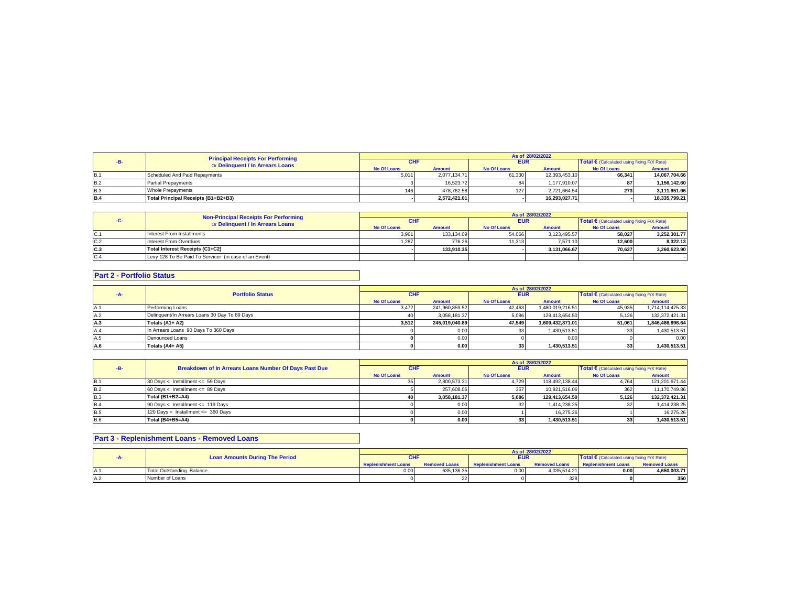|            | <b>Principal Receipts For Performing</b> |             |               |             | As of 28/02/2022 |                                            |               |
|------------|------------------------------------------|-------------|---------------|-------------|------------------|--------------------------------------------|---------------|
|            | Or Delinguent / In Arrears Loans         |             |               | <b>EUR</b>  |                  | Total € (Calculated using fixing F/X Rate) |               |
|            |                                          | No Of Loans | <b>Amount</b> | No Of Loans | <b>Amount</b>    | No Of Loans                                | <b>Amount</b> |
| <b>B.1</b> | Scheduled And Paid Repayments            | 5.011       | 2.077.134.71  | 61.330      | 12.393.453.10    | 66.341                                     | 14.067.704.66 |
| <b>B.2</b> | <b>Partial Prepayments</b>               |             | 16.523.72     | 84          | 1.177.910.07     | 87                                         | 1.156.142.60  |
| <b>B.3</b> | Whole Prepayments                        | 146         | 478.762.58    | 1271        | 2.721.664.54     | 273                                        | 3.111.951.96  |
| <b>B.4</b> | Total Principal Receipts (B1+B2+B3)      |             | 2.572.421.01  |             | 16.293.027.71    |                                            | 18.335.799.21 |

|     | <b>Non-Principal Receipts For Performing</b>          |             |               |                    | As of 28/02/2022 |                                            |              |
|-----|-------------------------------------------------------|-------------|---------------|--------------------|------------------|--------------------------------------------|--------------|
|     | Or Delinquent / In Arrears Loans                      |             |               | <b>EUR</b>         |                  | Total € (Calculated using fixing F/X Rate) |              |
|     |                                                       | No Of Loans | <b>Amount</b> | <b>No Of Loans</b> | <b>Amount</b>    | <b>No Of Loans</b>                         | Amount       |
| C.1 | Interest From Installments                            | 3,961       | 133.134.09    | 54.066             | 3.123.495.57     | 58.027                                     | 3.252.301.77 |
| C.2 | Interest From Overdues                                | 1.287       | 776.26        | 11.313             | 7.571.10         | 12.600                                     | 8.322.13     |
| C.3 | Total Interest Receipts (C1+C2)                       |             | 133.910.35    |                    | 3.131.066.67     | 70.627                                     | 3.260.623.90 |
| C.4 | Levy 128 To Be Paid To Servicer (in case of an Event) |             |               |                    |                  |                                            |              |

# **Part 2 - Portfolio Status**

|            |                                               |                    |                |                    | As of 28/02/2022 |                                                     |                  |
|------------|-----------------------------------------------|--------------------|----------------|--------------------|------------------|-----------------------------------------------------|------------------|
| ---        | <b>Portfolio Status</b>                       | <b>CHF</b>         |                | <b>EUR</b>         |                  | Total $\epsilon$ (Calculated using fixing F/X Rate) |                  |
|            |                                               | <b>No Of Loans</b> | <b>Amount</b>  | <b>No Of Loans</b> | <b>Amount</b>    | <b>No Of Loans</b>                                  | <b>Amount</b>    |
| <b>A.1</b> | Performing Loans                              | 3.472              | 241.960.859.52 | 42,463             | 1.480.019.216.51 | 45,935                                              | 1,714,114,475.33 |
| A.2        | Delinquent/In Arrears Loans 30 Day To 89 Days | 40                 | 3.058.181.37   | 5,086              | 129.413.654.50   | 5.126                                               | 132.372.421.31   |
| A.3        | Totals (A1+ A2)                               | 3.512              | 245.019.040.89 | 47.549             | 1.609.432.871.01 | 51.061                                              | 1.846.486.896.64 |
| A.4        | In Arrears Loans 90 Days To 360 Days          |                    | 0.00           |                    | 1.430.513.51     |                                                     | 1.430.513.51     |
| A.5        | Denounced Loans                               |                    | 0.00           |                    | 0.00             |                                                     | 0.00             |
| A.6        | Totals (A4+ A5)                               |                    | 0.00           |                    | 1.430.513.51     | 33                                                  | 1.430.513.51     |

|            |                                                       |                    |               |                    | As of 28/02/2022 |                                                     |                |
|------------|-------------------------------------------------------|--------------------|---------------|--------------------|------------------|-----------------------------------------------------|----------------|
| -в-        | Breakdown of In Arrears Loans Number Of Days Past Due | <b>CHI</b>         |               | <b>EUR</b>         |                  | Total $\epsilon$ (Calculated using fixing F/X Rate) |                |
|            |                                                       | <b>No Of Loans</b> | <b>Amount</b> | <b>No Of Loans</b> | <b>Amount</b>    | <b>No Of Loans</b>                                  | Amount         |
| <b>B.1</b> | 30 Days < Installment <= 59 Days                      |                    | 2.800.573.31  | 4.729              | 118.492.138.44   | 4.764                                               | 121.201.671.44 |
| <b>B.2</b> | 60 Days < Installment <= 89 Days                      |                    | 257.608.06    | 357                | 10.921.516.06    | 362                                                 | 11.170.749.86  |
| <b>B.3</b> | Total (B1+B2=A4)                                      |                    | 3.058.181.37  | 5.086              | 129.413.654.50   | 5.126                                               | 132,372,421.31 |
| <b>B.4</b> | 90 Days < Installment <= 119 Days                     |                    | 0.00          |                    | 1.414.238.25     |                                                     | 1,414,238.25   |
| <b>B.5</b> | 120 Days < Installment <= 360 Days                    |                    | 0.00          |                    | 16.275.26        |                                                     | 16.275.26      |
| <b>B.6</b> | <b>Total (B4+B5=A4)</b>                               |                    | 0.00          | 33                 | 1.430.513.51     |                                                     | 1.430.513.51   |

## **Part 3 - Replenishment Loans - Removed Loans**

|             |                                       |                            |                      |                            | As of 28/02/2022     |                                            |                      |
|-------------|---------------------------------------|----------------------------|----------------------|----------------------------|----------------------|--------------------------------------------|----------------------|
|             | <b>Loan Amounts During The Period</b> |                            |                      | <b>EUR</b>                 |                      | Total € (Calculated using fixing F/X Rate) |                      |
|             |                                       | <b>Replenishment Loans</b> | <b>Removed Loans</b> | <b>Replenishment Loans</b> | <b>Removed Loans</b> | <b>Replenishment Loans</b>                 | <b>Removed Loans</b> |
| <b>IA.1</b> | <b>Total Outstanding Balance</b>      | 0.00                       | 635.136.35           | 0.00                       | 4.035.514.21         | 0.00                                       | 4.650.003.71         |
| A.2         | Number of Loans                       |                            |                      |                            | 328                  |                                            | 350                  |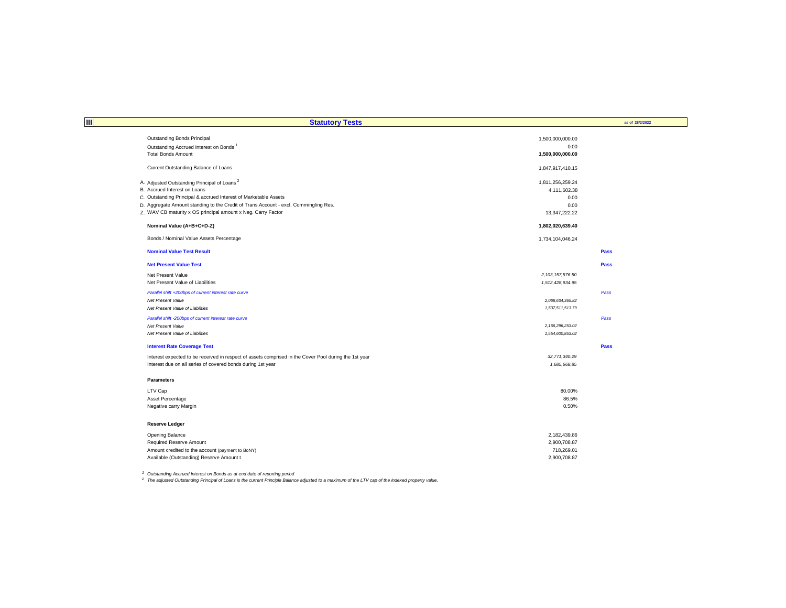| 圃<br><b>Statutory Tests</b>                                                                                                                                          |                     | as of 28/2/2022 |
|----------------------------------------------------------------------------------------------------------------------------------------------------------------------|---------------------|-----------------|
|                                                                                                                                                                      |                     |                 |
| Outstanding Bonds Principal                                                                                                                                          | 1,500,000,000.00    |                 |
| Outstanding Accrued Interest on Bonds                                                                                                                                | 0.00                |                 |
| <b>Total Bonds Amount</b>                                                                                                                                            | 1,500,000,000.00    |                 |
| Current Outstanding Balance of Loans                                                                                                                                 | 1,847,917,410.15    |                 |
| A. Adjusted Outstanding Principal of Loans <sup>2</sup>                                                                                                              | 1,811,256,259.24    |                 |
| B. Accrued Interest on Loans                                                                                                                                         | 4,111,602.38        |                 |
| C. Outstanding Principal & accrued Interest of Marketable Assets                                                                                                     | 0.00                |                 |
| D. Aggregate Amount standing to the Credit of Trans.Account - excl. Commingling Res.                                                                                 | 0.00                |                 |
| Z. WAV CB maturity x OS principal amount x Neg. Carry Factor                                                                                                         | 13,347,222.22       |                 |
| Nominal Value (A+B+C+D-Z)                                                                                                                                            | 1,802,020,639.40    |                 |
| Bonds / Nominal Value Assets Percentage                                                                                                                              | 1,734,104,046.24    |                 |
| <b>Nominal Value Test Result</b>                                                                                                                                     |                     | Pass            |
| <b>Net Present Value Test</b>                                                                                                                                        |                     | <b>Pass</b>     |
| Net Present Value                                                                                                                                                    | 2, 103, 157, 576.50 |                 |
| Net Present Value of Liabilities                                                                                                                                     | 1,512,428,934.95    |                 |
| Parallel shift +200bps of current interest rate curve                                                                                                                |                     | Pass            |
| Net Present Value                                                                                                                                                    | 2,068,634,365.82    |                 |
| Net Present Value of Liabilities                                                                                                                                     | 1,507,511,513.79    |                 |
| Parallel shift -200bps of current interest rate curve                                                                                                                |                     | Pass            |
| Net Present Value                                                                                                                                                    | 2, 166, 296, 253.02 |                 |
| Net Present Value of Liabilities                                                                                                                                     | 1,554,600,853.02    |                 |
| <b>Interest Rate Coverage Test</b>                                                                                                                                   |                     | Pass            |
|                                                                                                                                                                      | 32,771,340.29       |                 |
| Interest expected to be received in respect of assets comprised in the Cover Pool during the 1st year<br>Interest due on all series of covered bonds during 1st year | 1,685,668.85        |                 |
|                                                                                                                                                                      |                     |                 |
| <b>Parameters</b>                                                                                                                                                    |                     |                 |
| LTV Cap                                                                                                                                                              | 80.00%              |                 |
| Asset Percentage                                                                                                                                                     | 86.5%               |                 |
| Negative carry Margin                                                                                                                                                | 0.50%               |                 |
| <b>Reserve Ledger</b>                                                                                                                                                |                     |                 |
| Opening Balance                                                                                                                                                      | 2,182,439.86        |                 |
| Required Reserve Amount                                                                                                                                              | 2,900,708.87        |                 |
| Amount credited to the account (payment to BoNY)                                                                                                                     | 718,269.01          |                 |
| Available (Outstanding) Reserve Amount t                                                                                                                             | 2,900,708.87        |                 |
|                                                                                                                                                                      |                     |                 |

<sup>1</sup> Outstanding Accrued Interest on Bonds as at end date of reporting period<br><sup>2</sup> The adjusted Outstanding Principal of Loans is the current Principle Balance adjusted to a maximum of the LTV cap of the indexed property val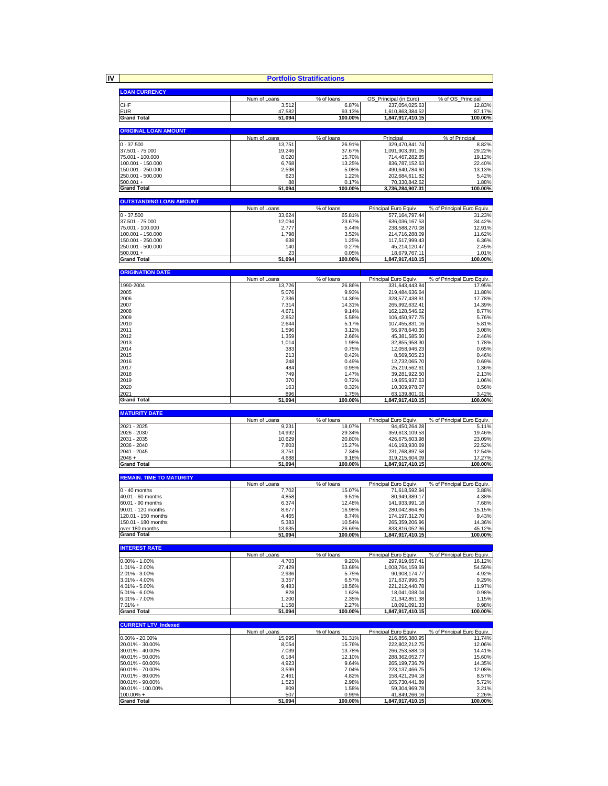**IV**

|                                        | <b>Portfolio Stratifications</b> |                      |                                         |                                      |
|----------------------------------------|----------------------------------|----------------------|-----------------------------------------|--------------------------------------|
| <b>LOAN CURRENCY</b>                   |                                  |                      |                                         |                                      |
|                                        | Num of Loans                     | % of loans           | OS_Principal (in Euro)                  | % of OS Principal                    |
| CHF                                    | 3,512                            | 6.87%                | 237,054,025.63                          | 12.83%                               |
| <b>EUR</b>                             | 47,582                           | 93.13%               | 1,610,863,384.52                        | 87.17%                               |
| <b>Grand Total</b>                     | 51,094                           | 100.00%              | 1,847,917,410.15                        | 100.00%                              |
| <b>ORIGINAL LOAN AMOUNT</b>            |                                  |                      |                                         |                                      |
|                                        | Num of Loans                     | % of loans           | Principal                               | % of Principal                       |
| $0 - 37.500$                           | 13,751                           | 26.91%               | 329,470,841.74                          | 8.82%                                |
| 37.501 - 75.000<br>75.001 - 100.000    | 19,246<br>8,020                  | 37.67%<br>15.70%     | 1,091,903,391.05<br>714,467,282.85      | 29.22%<br>19.12%                     |
| 100.001 - 150.000                      | 6,768                            | 13.25%               | 836,787,152.63                          | 22.40%                               |
| 150.001 - 250.000                      | 2,598                            | 5.08%                | 490,640,784.60                          | 13.13%                               |
| 250.001 - 500.000                      | 623                              | 1.22%                | 202,684,611.82                          | 5.42%                                |
| $500.001 +$                            | 88                               | 0.17%                | 70,330,842.62                           | 1.88%                                |
| <b>Grand Total</b>                     | 51,094                           | 100.00%              | 3,736,284,907.31                        | 100.00%                              |
| <b>OUTSTANDING LOAN AMOUNT</b>         |                                  |                      |                                         |                                      |
|                                        | Num of Loans                     | % of loans           | Principal Euro Equiv                    | % of Principal Euro Equiv            |
| $0 - 37,500$                           | 33,624                           | 65.81%               | 577.164.797.44                          | 31.23%                               |
| 37.501 - 75.000<br>75.001 - 100.000    | 12,094<br>2,777                  | 23.67%<br>5.44%      | 636,036,167.53<br>238,588,270.08        | 34.42%<br>12.91%                     |
| 100.001 - 150.000                      | 1,798                            | 3.52%                | 214,716,288.09                          | 11.62%                               |
| 150.001 - 250.000                      | 638                              | 1.25%                | 117,517,999.43                          | 6.36%                                |
| 250.001 - 500.000                      | 140                              | 0.27%                | 45,214,120.47                           | 2.45%                                |
| $500.001 +$                            | 23                               | 0.05%                | 18,679,767.11                           | 1.01%                                |
| <b>Grand Total</b>                     | 51,094                           | 100.00%              | 1,847,917,410.15                        | 100.00%                              |
| <b>ORIGINATION DATE</b>                |                                  |                      |                                         |                                      |
|                                        | Num of Loans                     | % of loans           | Principal Euro Equiv                    | % of Principal Euro Equiv.           |
| 1990-2004                              | 13,726                           | 26.86%               | 331,643,443.84                          | 17.95%                               |
| 2005<br>2006                           | 5,076<br>7,336                   | 9.93%<br>14.36%      | 219,484,636.64<br>328,577,438.61        | 11.88%<br>17.78%                     |
| 2007                                   | 7,314                            | 14.31%               | 265,992,632.41                          | 14.39%                               |
| 2008                                   | 4,671                            | 9.14%                | 162,128,546.62                          | 8.77%                                |
| 2009                                   | 2,852                            | 5.58%                | 106,450,977.75                          | 5.76%                                |
| 2010                                   | 2,644                            | 5.17%                | 107,455,831.16                          | 5.81%                                |
| 2011<br>2012                           | 1,596<br>1,359                   | 3.12%<br>2.66%       | 56,978,640.35<br>45,381,585.50          | 3.08%<br>2.46%                       |
| 2013                                   | 1,014                            | 1.98%                | 32,855,958.30                           | 1.78%                                |
| 2014                                   | 383                              | 0.75%                | 12,058,946.23                           | 0.65%                                |
| 2015                                   | 213                              | 0.42%                | 8,569,505.23                            | 0.46%                                |
| 2016<br>2017                           | 248<br>484                       | 0.49%<br>0.95%       | 12,732,065.70                           | 0.69%                                |
| 2018                                   | 749                              | 1.47%                | 25,219,562.61<br>39,281,922.50          | 1.36%<br>2.13%                       |
| 2019                                   | 370                              | 0.72%                | 19,655,937.63                           | 1.06%                                |
| 2020                                   | 163                              | 0.32%                | 10,309,978.07                           | 0.56%                                |
| 2021                                   | 896                              | 1.75%                | 63,139,801.01                           | 3.42%                                |
| <b>Grand Total</b>                     | 51,094                           | 100.00%              | 1,847,917,410.15                        | 100.00%                              |
| <b>MATURITY DATE</b>                   |                                  |                      |                                         |                                      |
|                                        | Num of Loans                     | % of loans           | Principal Euro Equiv                    | % of Principal Euro Equiv.           |
| 2021 - 2025                            | 9,231                            | 18.07%<br>29.34%     | 94,450,264.28                           | 5.11%<br>19.46%                      |
| 2026 - 2030<br>2031 - 2035             | 14,992<br>10,629                 | 20.80%               | 359,613,109.53<br>426,675,603.98        | 23.09%                               |
| 2036 - 2040                            | 7,803                            | 15.27%               | 416,193,930.69                          | 22.52%                               |
| 2041 - 2045                            | 3,75'                            | 7.34%                | 231,768,897.58                          | 12.54%                               |
| $2046 +$                               | 4.688                            | 9.18%                | 319,215,604.09                          | 17.27%                               |
| <b>Grand Total</b>                     | 51,094                           | 100.00%              | 1,847,917,410.15                        | 100.00%                              |
| <b>REMAIN. TIME TO MATURITY</b>        |                                  |                      |                                         |                                      |
|                                        | Num of Loans                     | % of loans           | Principal Euro Equiv.                   | % of Principal Euro Equiv.           |
| $0 - 40$ months                        | 7,702                            | 15.07%               | 71,618,592.94                           | 3.88%                                |
| 40.01 - 60 months<br>60.01 - 90 months | 4,858<br>6,374                   | 9.51%<br>12.48%      | 80,949,389.17<br>141,933,991.18         | 4.38%<br>7.68%                       |
| 90.01 - 120 months                     | 8,677                            | 16.98%               | 280,042,864.85                          | 15.15%                               |
| 120.01 - 150 months                    | 4,465                            | 8.74%                | 174, 197, 312. 70                       | 9.43%                                |
| 150.01 - 180 months<br>over 180 months | 5,383                            | 10.54%               | 265,359,206.96                          | 14.36%                               |
| <b>Grand Total</b>                     | 13,635<br>51,094                 | 26.69%<br>100.00%    | 833,816,052.36<br>1,847,917,410.15      | 45.12%<br>100.00%                    |
|                                        |                                  |                      |                                         |                                      |
| <b>INTEREST RATE</b>                   |                                  |                      |                                         |                                      |
| $0.00\% - 1.00\%$                      | Num of Loans                     | $%$ of loans         | Principal Euro Equiv.                   | % of Principal Euro Equiv.           |
| 1.01% - 2.00%                          | 4,703                            | 9.20%<br>53.68%      | 297,919,657.41                          | 16.12%<br>54.59%                     |
|                                        |                                  |                      |                                         |                                      |
| 2.01% - 3.00%                          | 27,429<br>2,936                  | 5.75%                | 1,008,764,159.69<br>90,908,174.77       |                                      |
| 3.01% - 4.00%                          | 3,357                            | 6.57%                | 171,637,996.75                          | 4.92%<br>9.29%                       |
| 4.01% - 5.00%                          | 9,483                            | 18.56%               | 221,212,440.78                          | 11.97%                               |
| 5.01% - 6.00%                          | 828                              | 1.62%                | 18,041,038.04                           | 0.98%                                |
| 6.01% - 7.00%<br>$7.01% +$             | 1,200<br>1,158                   | 2.35%<br>2.27%       | 21,342,851.38                           | 1.15%<br>0.98%                       |
| <b>Grand Total</b>                     | 51,094                           | 100.00%              | 18,091,091.33<br>1,847,917,410.15       |                                      |
|                                        |                                  |                      |                                         | 100.00%                              |
| <b>CURRENT LTV_Indexed</b>             |                                  |                      |                                         |                                      |
| $0.00\% - 20.00\%$                     | Num of Loans<br>15,995           | % of loans<br>31.31% | Principal Euro Equiv.<br>216,856,380.95 | % of Principal Euro Equiv.<br>11.74% |
| 20.01% - 30.00%                        | 8,054                            | 15.76%               | 222,802,212.75                          |                                      |
| 30.01% - 40.00%                        | 7,039                            | 13.78%               | 266,253,588.13                          |                                      |
| 40.01% - 50.00%                        | 6,184                            | 12.10%               | 288,362,052.77                          |                                      |
| 50.01% - 60.00%                        | 4,923                            | 9.64%                | 265, 199, 736. 79                       | 12.06%<br>14.41%<br>15.60%<br>14.35% |
| 60.01% - 70.00%<br>70.01% - 80.00%     | 3,599<br>2,461                   | 7.04%<br>4.82%       | 223, 137, 466. 75<br>158,421,294.18     | 12.08%<br>8.57%                      |
| 80.01% - 90.00%                        | 1,523                            | 2.98%                | 105,730,441.89                          | 5.72%                                |
| 90.01% - 100.00%<br>$100.00\% +$       | 809<br>507                       | 1.58%<br>0.99%       | 59,304,969.78<br>41,849,266.16          | 3.21%<br>2.26%                       |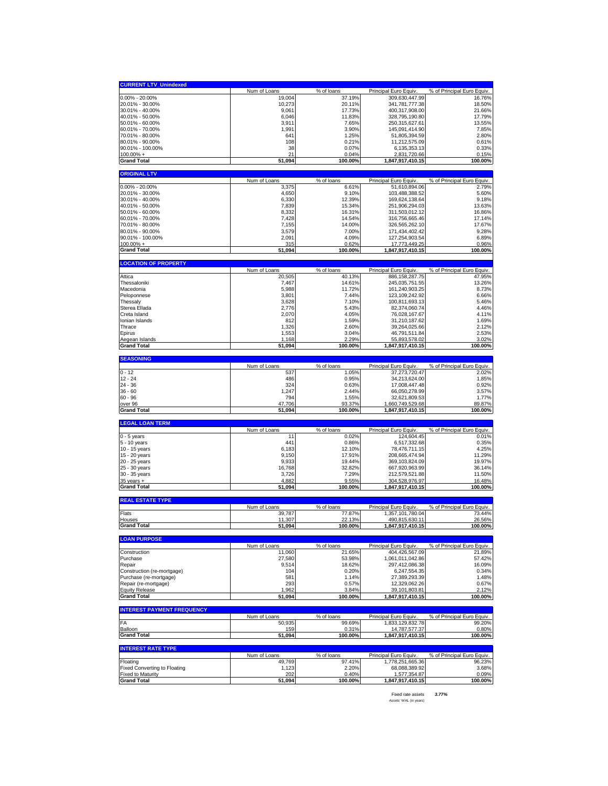| <b>CURRENT LTV_Unindexed</b>                   |                        |                      |                                          |                                     |
|------------------------------------------------|------------------------|----------------------|------------------------------------------|-------------------------------------|
|                                                | Num of Loans           | % of loans           | <b>Principal Euro Equiv.</b>             | % of Principal Euro Equiv.          |
| $0.00\% - 20.00\%$                             | 19,004                 | 37.19%               | 309,630,447.99                           | 16.76%                              |
| 20.01% - 30.00%                                | 10,273                 | 20.11%               | 341,781,777.38                           | 18.50%                              |
| 30.01% - 40.00%                                | 9,061                  | 17.73%               |                                          | 21.66%                              |
| 40.01% - 50.00%                                | 6,046                  |                      | 400,317,908.00                           |                                     |
|                                                |                        | 11.83%               | 328,795,190.80                           | 17.79%                              |
| 50.01% - 60.00%                                | 3,911                  | 7.65%                | 250,315,627.61                           | 13.55%                              |
| 60.01% - 70.00%                                | 1,991                  | 3.90%                | 145,091,414.90                           | 7.85%                               |
| 70.01% - 80.00%                                | 641                    | 1.25%                | 51,805,394.59                            | 2.80%                               |
| 80.01% - 90.00%                                | 108                    | 0.21%                | 11,212,575.09                            | 0.61%                               |
| 90.01% - 100.00%                               | 38                     | 0.07%                | 6,135,353.13                             | 0.33%                               |
| $100.00\% +$                                   | 21                     | 0.04%                | 2,831,720.66                             | 0.15%                               |
| <b>Grand Total</b>                             | 51,094                 | 100.00%              | 1,847,917,410.15                         | 100.00%                             |
|                                                |                        |                      |                                          |                                     |
| <b>ORIGINAL LTV</b>                            |                        |                      |                                          |                                     |
|                                                | Num of Loans           | % of loans           | <b>Principal Euro Equiv.</b>             | % of Principal Euro Equiv.          |
| 0.00% - 20.00%                                 | 3,375                  | 6.61%                | 51,610,894.06                            | 2.79%                               |
| 20.01% - 30.00%                                | 4,650                  | 9.10%                | 103.488.388.52                           | 5.60%                               |
| 30.01% - 40.00%                                | 6,330                  | 12.39%               | 169,624,138.64                           | 9.18%                               |
| 40.01% - 50.00%                                | 7,839                  | 15.34%               | 251,906,294.03                           | 13.63%                              |
| 50.01% - 60.00%                                | 8,332                  | 16.31%               | 311,503,012.12                           | 16.86%                              |
| 60.01% - 70.00%                                | 7,428                  | 14.54%               | 316,756,665.46                           | 17.14%                              |
| 70.01% - 80.00%                                | 7,155                  | 14.00%               | 326,565,262.10                           | 17.67%                              |
| 80.01% - 90.00%                                | 3,579                  | 7.00%                | 171,434,402.42                           | 9.28%                               |
| 90.01% - 100.00%                               | 2,091                  | 4.09%                | 127,254,903.54                           | 6.89%                               |
|                                                |                        |                      |                                          |                                     |
| $100.00\%$ +                                   | 315                    | 0.62%                | 17,773,449.25                            | 0.96%                               |
| <b>Grand Total</b>                             | 51,094                 | 100.00%              | 1,847,917,410.15                         | 100.00%                             |
| <b>LOCATION OF PROPERTY</b>                    |                        |                      |                                          |                                     |
|                                                | Num of Loans           | % of loans           | Principal Euro Equiv.                    | % of Principal Euro Equiv.          |
| Attica                                         | 20,505                 | 40.13%               | 886, 158, 287. 75                        | 47.95%                              |
| Thessaloniki                                   | 7,467                  | 14.61%               | 245,035,751.55                           | 13.26%                              |
| Macedonia                                      | 5,988                  | 11.72%               | 161,240,903.25                           | 8.73%                               |
| Peloponnese                                    | 3,801                  | 7.44%                | 123,109,242.92                           | 6.66%                               |
| Thessalv                                       |                        |                      |                                          |                                     |
|                                                | 3,628                  | 7.10%                | 100,811,693.13                           | 5.46%                               |
| Sterea Ellada                                  | 2,776                  | 5.43%                | 82.374.060.74                            | 4.46%                               |
| Creta Island                                   | 2,070                  | 4.05%                | 76,028,167.67                            | 4.11%                               |
| Ionian Islands                                 | 812                    | 1.59%                | 31,210,187.62                            | 1.69%                               |
| Thrace                                         | 1,326                  | 2.60%                | 39,264,025.66                            | 2.12%                               |
| Epirus                                         | 1,553                  | 3.04%                | 46,791,511.84                            | 2.53%                               |
| Aegean Islands                                 | 1.168                  | 2.29%                | 55.893.578.02                            | 3.02%                               |
| <b>Grand Total</b>                             | 51,094                 | 100.00%              | 1,847,917,410.15                         | 100.00%                             |
|                                                |                        |                      |                                          |                                     |
| <b>SEASONING</b>                               |                        |                      |                                          |                                     |
|                                                | Num of Loans           | % of loans           | Principal Euro Equiv.                    | % of Principal Euro Equiv.          |
| $0 - 12$                                       | 537                    | 1.05%                | 37,273,720.47                            | 2.02%                               |
| $12 - 24$                                      | 486                    | 0.95%                | 34,213,624.00                            | 1.85%                               |
|                                                |                        |                      |                                          |                                     |
| $24 - 36$                                      | 324                    | 0.63%                | 17,008,447.48                            | 0.92%                               |
| $36 - 60$                                      | 1,247                  | 2.44%                | 66,050,278.99                            | 3.57%                               |
|                                                |                        |                      |                                          |                                     |
| $60 - 96$                                      | 794                    | 1.55%                | 32,621,809.53                            | 1.77%                               |
| over 96                                        | 47,706                 | 93.37%               | 1,660,749,529.68                         | 89.87%                              |
| <b>Grand Total</b>                             | 51,094                 | 100.00%              | 1,847,917,410.15                         | 100.00%                             |
| <b>LEGAL LOAN TERM</b>                         |                        |                      |                                          |                                     |
|                                                | Num of Loans           | % of loans           | Principal Euro Equiv.                    | % of Principal Euro Equiv.          |
| $0 - 5$ years                                  | 11                     | 0.02%                | 124,604.45                               | 0.01%                               |
| 5 - 10 years                                   | 441                    | 0.86%                | 6,517,332.68                             | 0.35%                               |
| 10 - 15 years                                  | 6,183                  | 12.10%               | 78,476,711.15                            | 4.25%                               |
| 15 - 20 years                                  | 9,150                  | 17.91%               | 208,665,474.94                           | 11.29%                              |
| 20 - 25 years                                  | 9,933                  | 19.44%               | 369,103,824.09                           | 19.97%                              |
| 25 - 30 years                                  | 16,768                 | 32.82%               | 667,920,963.99                           | 36.14%                              |
|                                                |                        | 7.29%                |                                          |                                     |
| 30 - 35 years<br>$35$ years $+$                | 3,726<br>4,882         | 9.55%                | 212,579,521.88<br>304,528,976.97         | 11.50%<br>16.48%                    |
| <b>Grand Total</b>                             | 51,094                 | 100.00%              | 1,847,917,410.15                         | 100.00%                             |
|                                                |                        |                      |                                          |                                     |
| <b>REAL ESTATE TYPE</b>                        |                        |                      |                                          |                                     |
|                                                | Num of Loans<br>39,787 | % of loans<br>77.87% | Principal Euro Equiv<br>1,357,101,780.04 | % of Principal Euro Equiv<br>73.44% |
| Flats<br>Houses                                | 11,307                 | 22.13%               | 490,815,630.11                           | 26.56%                              |
| Grand Total                                    | 51,094                 | 100.00%              | 1,847,917,410.15                         | 100.00%                             |
|                                                |                        |                      |                                          |                                     |
| <b>LOAN PURPOSE</b>                            |                        |                      |                                          |                                     |
|                                                | Num of Loans           | $%$ of loans         | Principal Euro Equiv.                    | % of Principal Euro Equiv.          |
| Construction                                   | 11,060                 | 21.65%               | 404,426,567.09                           | 21.89%                              |
| Purchase                                       | 27,580                 | 53.98%               | 1,061,011,042.86                         | 57.42%                              |
| Repair                                         | 9,514                  | 18.62%               | 297,412,086.38                           | 16.09%                              |
| Construction (re-mortgage)                     | 104                    | 0.20%                | 6,247,554.35                             | 0.34%                               |
| Purchase (re-mortgage)                         | 581                    | 1.14%                | 27,389,293.39                            | 1.48%                               |
| Repair (re-mortgage)                           | 293                    | 0.57%                | 12,329,062.26                            | 0.67%                               |
| <b>Equity Release</b>                          | 1,962                  | 3.84%                | 39,101,803.81                            | 2.12%                               |
| <b>Grand Total</b>                             | 51,094                 | 100.00%              | 1,847,917,410.15                         | 100.00%                             |
|                                                |                        |                      |                                          |                                     |
| <b>INTEREST PAYMENT FREQUENCY</b>              |                        |                      |                                          |                                     |
|                                                | Num of Loans<br>50,935 | % of loans           | Principal Euro Equiv.                    | % of Principal Euro Equiv.          |
| FA<br>Balloon                                  | 15 <sub>S</sub>        | 99.69%<br>0.31%      | 1,833,129,832.78                         | 99.20%<br>0.80%                     |
| <b>Grand Total</b>                             | 51,094                 | 100.00%              | 14,787,577.37<br>1,847,917,410.15        | 100.00%                             |
|                                                |                        |                      |                                          |                                     |
| <b>INTEREST RATE TYPE</b>                      |                        |                      |                                          |                                     |
|                                                | Num of Loans           | % of loans           | Principal Euro Equiv                     | % of Principal Euro Equiv.          |
| Floating                                       | 49,769                 | 97.41%               | 1,778,251,665.36                         | 96.23%                              |
| <b>Fixed Converting to Floating</b>            | 1,123                  | 2.20%                | 68,088,389.92                            | 3.68%                               |
| <b>Fixed to Maturity</b><br><b>Grand Total</b> | 202<br>51,094          | 0.40%<br>100.00%     | 1,577,354.87<br>1,847,917,410.15         | 0.09%<br>100.00%                    |

Fixed rate assets *3.77%* Assets' WAL (in years)